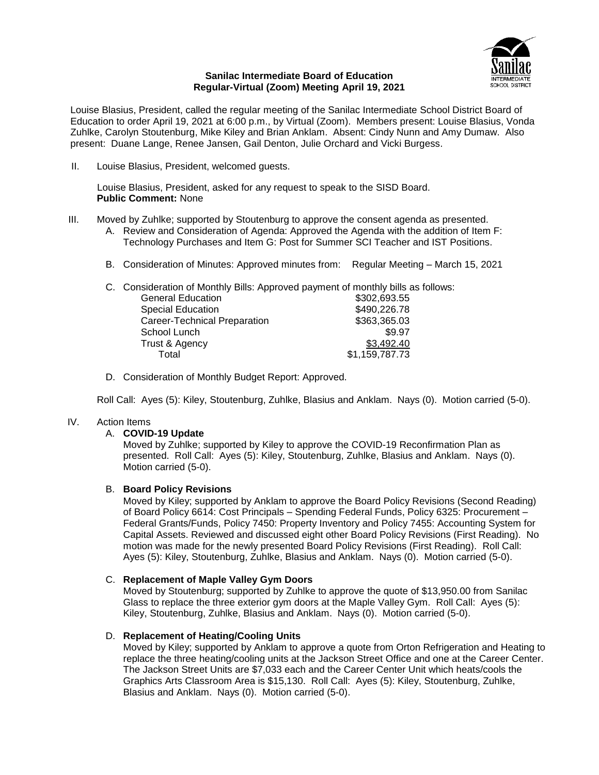

#### **Sanilac Intermediate Board of Education Regular-Virtual (Zoom) Meeting April 19, 2021**

Louise Blasius, President, called the regular meeting of the Sanilac Intermediate School District Board of Education to order April 19, 2021 at 6:00 p.m., by Virtual (Zoom). Members present: Louise Blasius, Vonda Zuhlke, Carolyn Stoutenburg, Mike Kiley and Brian Anklam. Absent: Cindy Nunn and Amy Dumaw. Also present: Duane Lange, Renee Jansen, Gail Denton, Julie Orchard and Vicki Burgess.

II. Louise Blasius, President, welcomed guests.

Louise Blasius, President, asked for any request to speak to the SISD Board. **Public Comment:** None

- III. Moved by Zuhlke; supported by Stoutenburg to approve the consent agenda as presented.
	- A. Review and Consideration of Agenda: Approved the Agenda with the addition of Item F: Technology Purchases and Item G: Post for Summer SCI Teacher and IST Positions.
	- B. Consideration of Minutes: Approved minutes from: Regular Meeting March 15, 2021

C. Consideration of Monthly Bills: Approved payment of monthly bills as follows:

| <b>General Education</b>     | \$302,693.55   |
|------------------------------|----------------|
| <b>Special Education</b>     | \$490,226.78   |
| Career-Technical Preparation | \$363,365.03   |
| School Lunch                 | \$9.97         |
| Trust & Agency               | \$3,492.40     |
| Total                        | \$1,159,787.73 |

D. Consideration of Monthly Budget Report: Approved.

Roll Call: Ayes (5): Kiley, Stoutenburg, Zuhlke, Blasius and Anklam. Nays (0). Motion carried (5-0).

# IV. Action Items

#### A. **COVID-19 Update**

Moved by Zuhlke; supported by Kiley to approve the COVID-19 Reconfirmation Plan as presented. Roll Call: Ayes (5): Kiley, Stoutenburg, Zuhlke, Blasius and Anklam. Nays (0). Motion carried (5-0).

# B. **Board Policy Revisions**

Moved by Kiley; supported by Anklam to approve the Board Policy Revisions (Second Reading) of Board Policy 6614: Cost Principals – Spending Federal Funds, Policy 6325: Procurement – Federal Grants/Funds, Policy 7450: Property Inventory and Policy 7455: Accounting System for Capital Assets. Reviewed and discussed eight other Board Policy Revisions (First Reading). No motion was made for the newly presented Board Policy Revisions (First Reading). Roll Call: Ayes (5): Kiley, Stoutenburg, Zuhlke, Blasius and Anklam. Nays (0). Motion carried (5-0).

# C. **Replacement of Maple Valley Gym Doors**

Moved by Stoutenburg; supported by Zuhlke to approve the quote of \$13,950.00 from Sanilac Glass to replace the three exterior gym doors at the Maple Valley Gym. Roll Call: Ayes (5): Kiley, Stoutenburg, Zuhlke, Blasius and Anklam. Nays (0). Motion carried (5-0).

# D. **Replacement of Heating/Cooling Units**

Moved by Kiley; supported by Anklam to approve a quote from Orton Refrigeration and Heating to replace the three heating/cooling units at the Jackson Street Office and one at the Career Center. The Jackson Street Units are \$7,033 each and the Career Center Unit which heats/cools the Graphics Arts Classroom Area is \$15,130. Roll Call: Ayes (5): Kiley, Stoutenburg, Zuhlke, Blasius and Anklam. Nays (0). Motion carried (5-0).